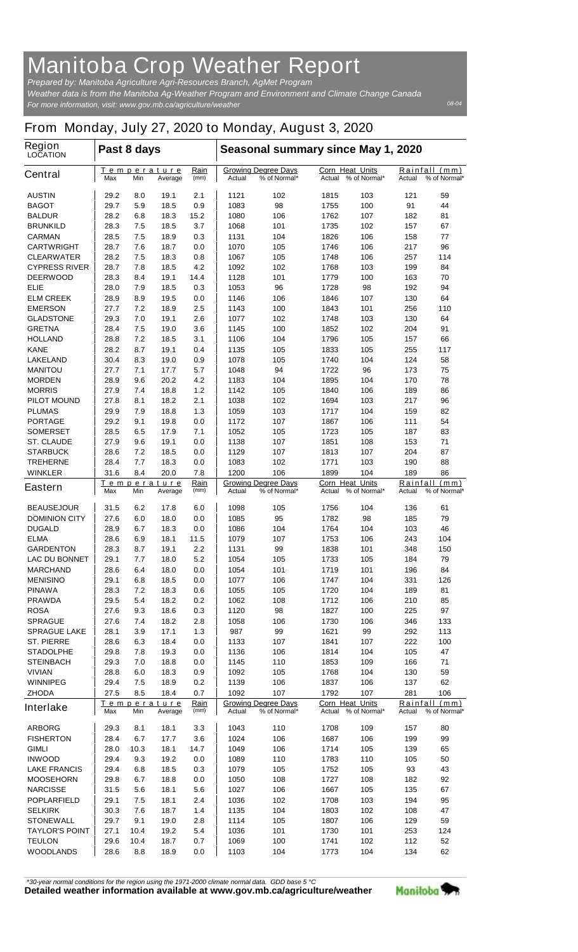## **Manitoba Crop Weather Report**

*For more information, visit: www.gov.mb.ca/agriculture/weather Prepared by: Manitoba Agriculture Agri-Resources Branch, AgMet Program Weather data is from the Manitoba Ag-Weather Program and Environment and Climate Change Canada*

## **From Monday, July 27, 2020 to Monday, August 3, 2020**

| <b>Region</b><br><b>LOCATION</b>          | Past 8 days                                 |              |                     |                                                      | Seasonal summary since May 1, 2020                   |                                                  |                                                  |                                            |                                            |           |
|-------------------------------------------|---------------------------------------------|--------------|---------------------|------------------------------------------------------|------------------------------------------------------|--------------------------------------------------|--------------------------------------------------|--------------------------------------------|--------------------------------------------|-----------|
| <b>Central</b>                            | <u>Temperature</u><br>Max<br>Min            |              | Average             | <u>Rain</u><br>(mm)                                  | <b>Growing Degree Days</b><br>Actual<br>% of Normal* |                                                  | <b>Corn Heat Units</b><br>Actual<br>% of Normal* |                                            | Rainfall<br>(mm)<br>% of Normal*<br>Actual |           |
| <b>AUSTIN</b>                             | 29.2                                        | 8.0          | 19.1                | 2.1                                                  | 1121                                                 | 102                                              | 1815                                             | 103                                        | 121                                        | 59        |
| <b>BAGOT</b>                              | 29.7                                        | 5.9          | 18.5                | 0.9                                                  | 1083                                                 | 98                                               | 1755                                             | 100                                        | 91                                         | 44        |
| <b>BALDUR</b>                             | 28.2                                        | 6.8          | 18.3                | 15.2                                                 | 1080                                                 | 106                                              | 1762                                             | 107                                        | 182                                        | 81        |
| <b>BRUNKILD</b>                           | 28.3                                        | 7.5          | 18.5                | 3.7                                                  | 1068                                                 | 101                                              | 1735                                             | 102                                        | 157                                        | 67        |
| <b>CARMAN</b>                             | 28.5                                        | 7.5          | 18.9                | 0.3                                                  | 1131                                                 | 104                                              | 1826                                             | 106                                        | 158                                        | 77        |
| <b>CARTWRIGHT</b>                         | 28.7                                        | 7.6          | 18.7                | 0.0                                                  | 1070<br>1067                                         | 105                                              | 1746                                             | 106                                        | 217<br>257                                 | 96        |
| <b>CLEARWATER</b><br><b>CYPRESS RIVER</b> | 28.2<br>28.7                                | 7.5<br>7.8   | 18.3<br>18.5        | 0.8<br>4.2                                           | 1092                                                 | 105<br>102                                       | 1748<br>1768                                     | 106<br>103                                 | 199                                        | 114<br>84 |
| <b>DEERWOOD</b>                           | 28.3                                        | 8.4          | 19.1                | 14.4                                                 | 1128                                                 | 101                                              | 1779                                             | 100                                        | 163                                        | 70        |
| ELIE                                      | 28.0                                        | 7.9          | 18.5                | 0.3                                                  | 1053                                                 | 96                                               | 1728                                             | 98                                         | 192                                        | 94        |
| <b>ELM CREEK</b>                          | 28.9                                        | 8.9          | 19.5                | 0.0                                                  | 1146                                                 | 106                                              | 1846                                             | 107                                        | 130                                        | 64        |
| <b>EMERSON</b>                            | 27.7                                        | 7.2          | 18.9                | 2.5                                                  | 1143                                                 | 100                                              | 1843                                             | 101                                        | 256                                        | 110       |
| <b>GLADSTONE</b>                          | 29.3                                        | 7.0          | 19.1                | 2.6                                                  | 1077                                                 | 102                                              | 1748                                             | 103                                        | 130                                        | 64        |
| <b>GRETNA</b>                             | 28.4                                        | 7.5          | 19.0                | 3.6                                                  | 1145                                                 | 100                                              | 1852                                             | 102                                        | 204                                        | 91        |
| <b>HOLLAND</b>                            | 28.8                                        | 7.2          | 18.5                | 3.1                                                  | 1106                                                 | 104                                              | 1796                                             | 105                                        | 157                                        | 66        |
| <b>KANE</b>                               | 28.2                                        | 8.7          | 19.1                | 0.4                                                  | 1135                                                 | 105                                              | 1833                                             | 105                                        | 255                                        | 117       |
| <b>LAKELAND</b>                           | 30.4                                        | 8.3          | 19.0                | 0.9                                                  | 1078                                                 | 105                                              | 1740                                             | 104                                        | 124                                        | 58        |
| <b>MANITOU</b>                            | 27.7                                        | 7.1          | 17.7                | 5.7                                                  | 1048                                                 | 94                                               | 1722                                             | 96                                         | 173                                        | 75        |
| <b>MORDEN</b>                             | 28.9                                        | 9.6          | 20.2                | 4.2                                                  | 1183                                                 | 104                                              | 1895                                             | 104                                        | 170                                        | 78        |
| <b>MORRIS</b>                             | 27.9                                        | 7.4          | 18.8                | 1.2                                                  | 1142                                                 | 105                                              | 1840                                             | 106                                        | 189                                        | 86        |
| <b>PILOT MOUND</b><br><b>PLUMAS</b>       | 27.8                                        | 8.1          | 18.2                | 2.1                                                  | 1038<br>1059                                         | 102                                              | 1694                                             | 103                                        | 217<br>159                                 | 96<br>82  |
| <b>PORTAGE</b>                            | 29.9<br>29.2                                | 7.9<br>9.1   | 18.8<br>19.8        | 1.3<br>0.0                                           | 1172                                                 | 103<br>107                                       | 1717<br>1867                                     | 104<br>106                                 | 111                                        | 54        |
| <b>SOMERSET</b>                           | 28.5                                        | 6.5          | 17.9                | 7.1                                                  | 1052                                                 | 105                                              | 1723                                             | 105                                        | 187                                        | 83        |
| <b>ST. CLAUDE</b>                         | 27.9                                        | 9.6          | 19.1                | 0.0                                                  | 1138                                                 | 107                                              | 1851                                             | 108                                        | 153                                        | 71        |
| <b>STARBUCK</b>                           | 28.6                                        | 7.2          | 18.5                | 0.0                                                  | 1129                                                 | 107                                              | 1813                                             | 107                                        | 204                                        | 87        |
| <b>TREHERNE</b>                           | 28.4                                        | 7.7          | 18.3                | 0.0                                                  | 1083                                                 | 102                                              | 1771                                             | 103                                        | 190                                        | 88        |
| <b>WINKLER</b>                            | 31.6                                        | 8.4          | 20.0                | 7.8                                                  | 1200                                                 | 106                                              | 1899                                             | 104                                        | 189                                        | 86        |
| <b>Eastern</b>                            | <u>Temperature</u><br>Max<br>Min<br>Average |              | Rain<br>(mm)        | <b>Growing Degree Days</b><br>Actual<br>% of Normal* |                                                      | <b>Corn Heat Units</b><br>Actual<br>% of Normal* |                                                  | Rainfall (mm)<br>Actual<br>% of Normal*    |                                            |           |
| <b>BEAUSEJOUR</b>                         | 31.5                                        | 6.2          | 17.8                | 6.0                                                  | 1098                                                 | 105                                              | 1756                                             | 104                                        | 136                                        | 61        |
| <b>DOMINION CITY</b>                      | 27.6                                        | 6.0          | 18.0                | 0.0                                                  | 1085                                                 | 95                                               | 1782                                             | 98                                         | 185                                        | 79        |
| <b>DUGALD</b>                             | 28.9                                        | 6.7          | 18.3                | 0.0                                                  | 1086                                                 | 104                                              | 1764                                             | 104                                        | 103                                        | 46        |
| <b>ELMA</b>                               | 28.6                                        | 6.9          | 18.1                | 11.5                                                 | 1079                                                 | 107                                              | 1753                                             | 106                                        | 243                                        | 104       |
| <b>GARDENTON</b>                          | 28.3                                        | 8.7          | 19.1                | 2.2                                                  | 1131                                                 | 99                                               | 1838                                             | 101                                        | 348                                        | 150       |
| <b>LAC DU BONNET</b>                      | 29.1                                        | 7.7          | 18.0                | 5.2                                                  | 1054                                                 | 105                                              | 1733                                             | 105                                        | 184                                        | 79        |
| <b>MARCHAND</b>                           | 28.6                                        | 6.4          | 18.0                | 0.0                                                  | 1054                                                 | 101                                              | 1719                                             | 101                                        | 196                                        | 84        |
| <b>MENISINO</b>                           | 29.1                                        | 6.8          | 18.5                | 0.0                                                  | 1077                                                 | 106                                              | 1747                                             | 104                                        | 331                                        | 126       |
| <b>PINAWA</b>                             | 28.3                                        | 7.2          | 18.3                | 0.6                                                  | 1055                                                 | 105                                              | 1720                                             | 104                                        | 189                                        | 81        |
| <b>PRAWDA</b><br><b>ROSA</b>              | 29.5<br>27.6                                | 5.4<br>9.3   | 18.2<br>18.6        | 0.2<br>0.3                                           | 1062<br>1120                                         | 108<br>98                                        | 1712<br>1827                                     | 106<br>100                                 | 210<br>225                                 | 85<br>97  |
| <b>SPRAGUE</b>                            | 27.6                                        | 7.4          | 18.2                | 2.8                                                  | 1058                                                 | 106                                              | 1730                                             | 106                                        | 346                                        | 133       |
| <b>SPRAGUE LAKE</b>                       | 28.1                                        | 3.9          | 17.1                | $1.3$                                                | 987                                                  | 99                                               | 1621                                             | 99                                         | 292                                        | 113       |
| <b>ST. PIERRE</b>                         | 28.6                                        | 6.3          | 18.4                | 0.0                                                  | 1133                                                 | 107                                              | 1841                                             | 107                                        | 222                                        | 100       |
| <b>STADOLPHE</b>                          | 29.8                                        | 7.8          | 19.3                | 0.0                                                  | 1136                                                 | 106                                              | 1814                                             | 104                                        | 105                                        | 47        |
| <b>STEINBACH</b>                          | 29.3                                        | 7.0          | 18.8                | 0.0                                                  | 1145                                                 | 110                                              | 1853                                             | 109                                        | 166                                        | 71        |
| <b>VIVIAN</b>                             | 28.8                                        | 6.0          | 18.3                | 0.9                                                  | 1092                                                 | 105                                              | 1768                                             | 104                                        | 130                                        | 59        |
| <b>WINNIPEG</b>                           | 29.4                                        | 7.5          | 18.9                | 0.2                                                  | 1139                                                 | 106                                              | 1837                                             | 106                                        | 137                                        | 62        |
| <b>ZHODA</b>                              | 27.5                                        | 8.5          | 18.4                | 0.7                                                  | 1092                                                 | 107                                              | 1792                                             | 107                                        | 281                                        | 106       |
| <b>Interlake</b>                          | <u>Temperature</u><br>Max<br>Min<br>Average |              | <b>Rain</b><br>(mm) | <b>Growing Degree Days</b><br>% of Normal*<br>Actual |                                                      | <b>Corn Heat Units</b><br>Actual<br>% of Normal* |                                                  | Rainfall<br>(mm)<br>Actual<br>% of Normal* |                                            |           |
| <b>ARBORG</b>                             | 29.3                                        | 8.1          | 18.1                | 3.3                                                  | 1043                                                 | 110                                              | 1708                                             | 109                                        | 157                                        | 80        |
| <b>FISHERTON</b>                          | 28.4                                        | 6.7          | 17.7                | 3.6                                                  | 1024                                                 | 106                                              | 1687                                             | 106                                        | 199                                        | 99        |
| <b>GIMLI</b>                              | 28.0                                        | 10.3         | 18.1                | 14.7                                                 | 1049                                                 | 106                                              | 1714                                             | 105                                        | 139                                        | 65        |
| <b>INWOOD</b>                             | 29.4                                        | 9.3          | 19.2                | $0.0\,$                                              | 1089                                                 | 110                                              | 1783                                             | 110                                        | 105                                        | 50        |
| <b>LAKE FRANCIS</b>                       | 29.4                                        | 6.8          | 18.5                | 0.3                                                  | 1079                                                 | 105                                              | 1752                                             | 105                                        | 93                                         | 43        |
| <b>MOOSEHORN</b>                          | 29.8                                        | 6.7          | 18.8                | 0.0                                                  | 1050                                                 | 108                                              | 1727                                             | 108                                        | 182                                        | 92        |
| <b>NARCISSE</b>                           | 31.5                                        | 5.6          | 18.1                | 5.6                                                  | 1027                                                 | 106                                              | 1667                                             | 105                                        | 135                                        | 67        |
| <b>POPLARFIELD</b>                        | 29.1                                        | 7.5          | 18.1                | 2.4                                                  | 1036                                                 | 102                                              | 1708                                             | 103                                        | 194                                        | 95        |
| <b>SELKIRK</b>                            | 30.3                                        | 7.6          | 18.7                | $1.4$                                                | 1135                                                 | 104                                              | 1803                                             | 102                                        | 108                                        | 47        |
| <b>STONEWALL</b>                          | 29.7                                        | 9.1          | 19.0                | 2.8                                                  | 1114                                                 | 105                                              | 1807                                             | 106                                        | 129                                        | 59        |
| <b>TAYLOR'S POINT</b><br><b>TEULON</b>    | 27.1<br>29.6                                | 10.4<br>10.4 | 19.2<br>18.7        | 5.4<br>0.7                                           | 1036<br>1069                                         | 101<br>100                                       | 1730<br>1741                                     | 101<br>102                                 | 253<br>112                                 | 124<br>52 |
| <b>WOODLANDS</b>                          | 28.6                                        | 8.8          | 18.9                | 0.0                                                  | 1103                                                 | 104                                              | 1773                                             | 104                                        | 134                                        | 62        |
|                                           |                                             |              |                     |                                                      |                                                      |                                                  |                                                  |                                            |                                            |           |

*\*30-year normal conditions for the region using the 1971-2000 climate normal data. GDD base 5 °C*<br>Detailed weather information available at www.gov.mb.ca/agriculture/weather